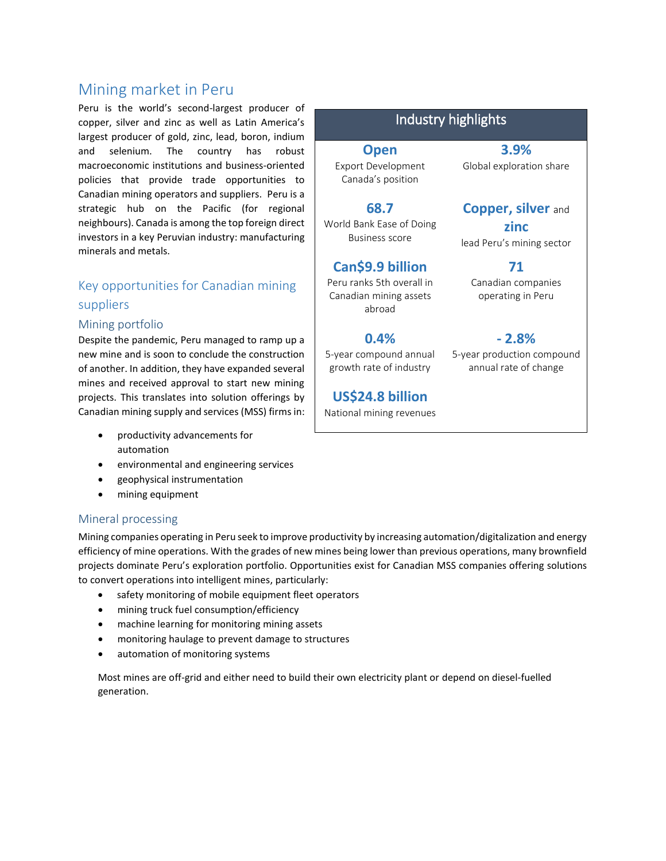# Mining market in Peru

Peru is the world's second-largest producer of copper, silver and zinc as well as Latin America's largest producer of gold, zinc, lead, boron, indium and selenium. The country has robust macroeconomic institutions and business-oriented policies that provide trade opportunities to Canadian mining operators and suppliers. Peru is a strategic hub on the Pacific (for regional neighbours). Canada is among the top foreign direct investors in a key Peruvian industry: manufacturing minerals and metals.

## Key opportunities for Canadian mining suppliers

#### Mining portfolio

Despite the pandemic, Peru managed to ramp up a new mine and is soon to conclude the construction of another. In addition, they have expanded several mines and received approval to start new mining projects. This translates into solution offerings by Canadian mining supply and services (MSS) firms in:

- productivity advancements for automation
- environmental and engineering services
- geophysical instrumentation
- mining equipment

#### Mineral processing

Mining companies operating in Peru seek to improve productivity by increasing automation/digitalization and energy efficiency of mine operations. With the grades of new mines being lower than previous operations, many brownfield projects dominate Peru's exploration portfolio. Opportunities exist for Canadian MSS companies offering solutions to convert operations into intelligent mines, particularly:

- safety monitoring of mobile equipment fleet operators
- mining truck fuel consumption/efficiency
- machine learning for monitoring mining assets
- monitoring haulage to prevent damage to structures
- automation of monitoring systems

Most mines are off-grid and either need to build their own electricity plant or depend on diesel-fuelled generation.

## Industry highlights

**Open**

**3.9%** Global exploration share

**Copper, silver** and

Export Development Canada's position

**68.7** World Bank Ease of Doing Business score

## **Can\$9.9 billion**

Peru ranks 5th overall in Canadian mining assets abroad

## **0.4%**

5-year compound annual growth rate of industry

### **US\$24.8 billion**

National mining revenues

**zinc** lead Peru's mining sector **71** Canadian companies operating in Peru

**- 2.8%**

5-year production compound annual rate of change